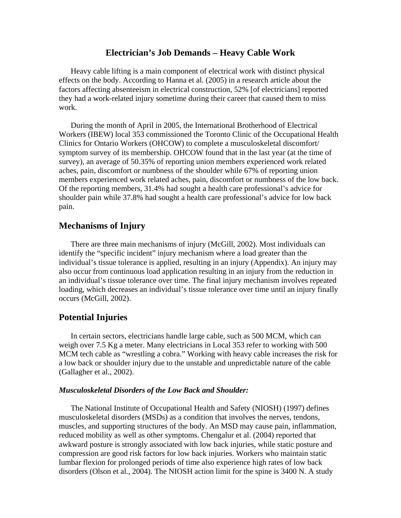#### **Electrician's Job Demands – Heavy Cable Work**

 Heavy cable lifting is a main component of electrical work with distinct physical effects on the body. According to Hanna et al. (2005) in a research article about the factors affecting absenteeism in electrical construction, 52% [of electricians] reported they had a work-related injury sometime during their career that caused them to miss work.

 During the month of April in 2005, the International Brotherhood of Electrical Workers (IBEW) local 353 commissioned the Toronto Clinic of the Occupational Health Clinics for Ontario Workers (OHCOW) to complete a musculoskeletal discomfort/ symptom survey of its membership. OHCOW found that in the last year (at the time of survey), an average of 50.35% of reporting union members experienced work related aches, pain, discomfort or numbness of the shoulder while 67% of reporting union members experienced work related aches, pain, discomfort or numbness of the low back. Of the reporting members, 31.4% had sought a health care professional's advice for shoulder pain while 37.8% had sought a health care professional's advice for low back pain.

#### **Mechanisms of Injury**

 There are three main mechanisms of injury (McGill, 2002). Most individuals can identify the "specific incident" injury mechanism where a load greater than the individual's tissue tolerance is applied, resulting in an injury (Appendix). An injury may also occur from continuous load application resulting in an injury from the reduction in an individual's tissue tolerance over time. The final injury mechanism involves repeated loading, which decreases an individual's tissue tolerance over time until an injury finally occurs (McGill, 2002).

#### **Potential Injuries**

 In certain sectors, electricians handle large cable, such as 500 MCM, which can weigh over 7.5 Kg a meter. Many electricians in Local 353 refer to working with 500 MCM tech cable as "wrestling a cobra." Working with heavy cable increases the risk for a low back or shoulder injury due to the unstable and unpredictable nature of the cable (Gallagher et al., 2002).

#### *Musculoskeletal Disorders of the Low Back and Shoulder:*

 The National Institute of Occupational Health and Safety (NIOSH) (1997) defines musculoskeletal disorders (MSDs) as a condition that involves the nerves, tendons, muscles, and supporting structures of the body. An MSD may cause pain, inflammation, reduced mobility as well as other symptoms. Chengalur et al. (2004) reported that awkward posture is strongly associated with low back injuries, while static posture and compression are good risk factors for low back injuries. Workers who maintain static lumbar flexion for prolonged periods of time also experience high rates of low back disorders (Olson et al., 2004). The NIOSH action limit for the spine is 3400 N. A study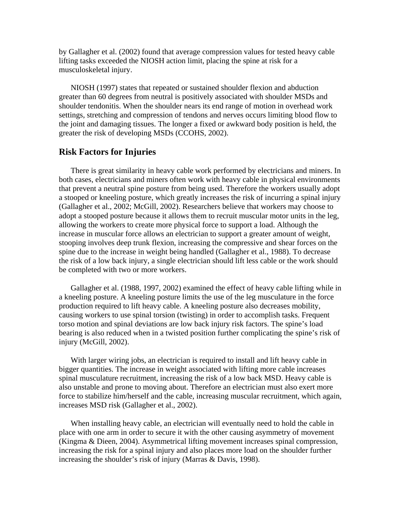by Gallagher et al. (2002) found that average compression values for tested heavy cable lifting tasks exceeded the NIOSH action limit, placing the spine at risk for a musculoskeletal injury.

 NIOSH (1997) states that repeated or sustained shoulder flexion and abduction greater than 60 degrees from neutral is positively associated with shoulder MSDs and shoulder tendonitis. When the shoulder nears its end range of motion in overhead work settings, stretching and compression of tendons and nerves occurs limiting blood flow to the joint and damaging tissues. The longer a fixed or awkward body position is held, the greater the risk of developing MSDs (CCOHS, 2002).

#### **Risk Factors for Injuries**

 There is great similarity in heavy cable work performed by electricians and miners. In both cases, electricians and miners often work with heavy cable in physical environments that prevent a neutral spine posture from being used. Therefore the workers usually adopt a stooped or kneeling posture, which greatly increases the risk of incurring a spinal injury (Gallagher et al., 2002; McGill, 2002). Researchers believe that workers may choose to adopt a stooped posture because it allows them to recruit muscular motor units in the leg, allowing the workers to create more physical force to support a load. Although the increase in muscular force allows an electrician to support a greater amount of weight, stooping involves deep trunk flexion, increasing the compressive and shear forces on the spine due to the increase in weight being handled (Gallagher et al., 1988). To decrease the risk of a low back injury, a single electrician should lift less cable or the work should be completed with two or more workers.

 Gallagher et al. (1988, 1997, 2002) examined the effect of heavy cable lifting while in a kneeling posture. A kneeling posture limits the use of the leg musculature in the force production required to lift heavy cable. A kneeling posture also decreases mobility, causing workers to use spinal torsion (twisting) in order to accomplish tasks. Frequent torso motion and spinal deviations are low back injury risk factors. The spine's load bearing is also reduced when in a twisted position further complicating the spine's risk of injury (McGill, 2002).

 With larger wiring jobs, an electrician is required to install and lift heavy cable in bigger quantities. The increase in weight associated with lifting more cable increases spinal musculature recruitment, increasing the risk of a low back MSD. Heavy cable is also unstable and prone to moving about. Therefore an electrician must also exert more force to stabilize him/herself and the cable, increasing muscular recruitment, which again, increases MSD risk (Gallagher et al., 2002).

 When installing heavy cable, an electrician will eventually need to hold the cable in place with one arm in order to secure it with the other causing asymmetry of movement (Kingma & Dieen, 2004). Asymmetrical lifting movement increases spinal compression, increasing the risk for a spinal injury and also places more load on the shoulder further increasing the shoulder's risk of injury (Marras & Davis, 1998).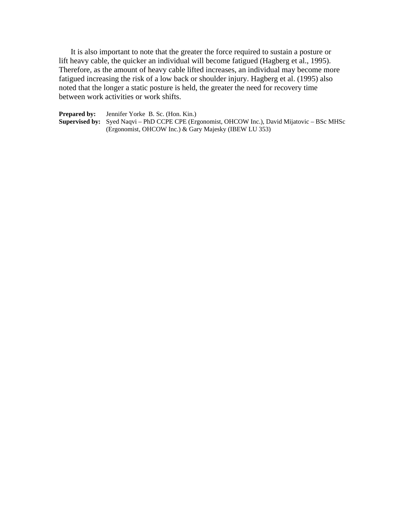It is also important to note that the greater the force required to sustain a posture or lift heavy cable, the quicker an individual will become fatigued (Hagberg et al., 1995). Therefore, as the amount of heavy cable lifted increases, an individual may become more fatigued increasing the risk of a low back or shoulder injury. Hagberg et al. (1995) also noted that the longer a static posture is held, the greater the need for recovery time between work activities or work shifts.

**Prepared by:** Jennifer Yorke B. Sc. (Hon. Kin.) **Supervised by:** Syed Naqvi – PhD CCPE CPE (Ergonomist, OHCOW Inc.), David Mijatovic – BSc MHSc (Ergonomist, OHCOW Inc.) & Gary Majesky (IBEW LU 353)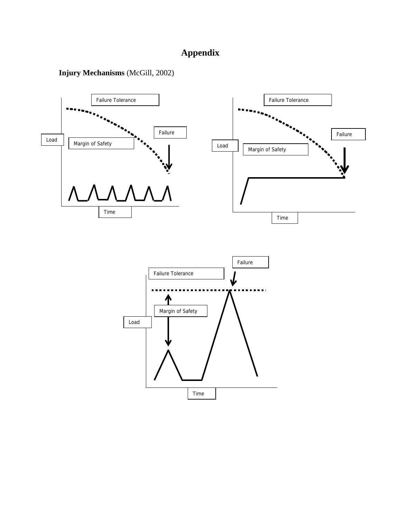## **Appendix**

**Injury Mechanisms** (McGill, 2002)

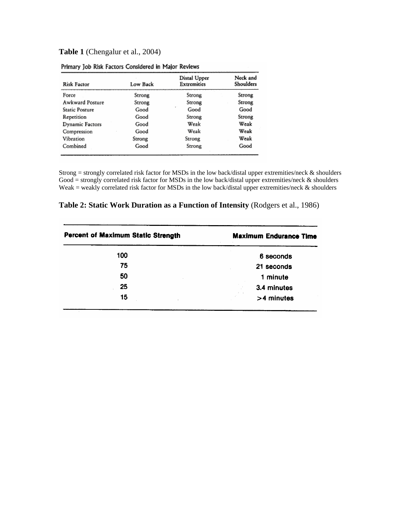### **Table 1** (Chengalur et al., 2004)

| <b>Risk Factor</b> | <b>Low Back</b> | Distal Upper<br><b>Extremities</b> | Neck and<br>Shoulders |
|--------------------|-----------------|------------------------------------|-----------------------|
| Force              | Strong          | Strong                             | Strong                |
| Awkward Posture    | Strong          | Strong                             | Strong                |
| Static Posture     | Good            | Good                               | Good                  |
| Repetition         | Good            | Strong                             | Strong                |
| Dynamic Factors    | Good            | Weak                               | Weak                  |
| Compression        | Good            | Weak                               | Weak                  |
| Vibration          | Strong          | Strong                             | Weak                  |
| Combined           | Good            | Strong                             | Good                  |

| Primary Job Risk Factors Considered in Major Reviews |  |  |  |  |  |  |
|------------------------------------------------------|--|--|--|--|--|--|
|------------------------------------------------------|--|--|--|--|--|--|

Strong = strongly correlated risk factor for MSDs in the low back/distal upper extremities/neck & shoulders Good = strongly correlated risk factor for MSDs in the low back/distal upper extremities/neck & shoulders Weak = weakly correlated risk factor for MSDs in the low back/distal upper extremities/neck & shoulders

|  | Table 2: Static Work Duration as a Function of Intensity (Rodgers et al., 1986) |  |  |  |  |
|--|---------------------------------------------------------------------------------|--|--|--|--|
|--|---------------------------------------------------------------------------------|--|--|--|--|

| <b>Percent of Maximum Static Strength</b> | <b>Maximum Endurance Time</b> |
|-------------------------------------------|-------------------------------|
| 100                                       | 6 seconds                     |
| 75                                        | 21 seconds                    |
| 50                                        | 1 minute                      |
| 25                                        | 3.4 minutes                   |
| 15                                        | >4 minutes                    |
|                                           |                               |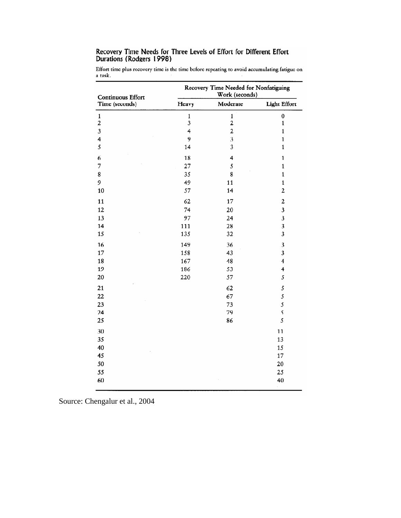# Recovery Time Needs for Three Levels of Effort for Different Effort<br>Durations (Rodgers 1998)

Effort time plus recovery time is the time before repeating to avoid accumulating fatigue on a task.

| Continuous Effort                                                                             | Recovery Time Needed for Nonfatiguing<br>Work (seconds) |                         |                         |  |
|-----------------------------------------------------------------------------------------------|---------------------------------------------------------|-------------------------|-------------------------|--|
| Time (seconds)                                                                                | Heavy                                                   | Moderate                | <b>Light Effort</b>     |  |
| $\mathbf{1}% _{T}\left  \mathcal{I}\right  _{T}=\mathbf{1}_{T}\left  \mathcal{I}\right  _{T}$ | $\mathbf 1$                                             | $\mathbf 1$             | $\pmb{0}$               |  |
| $\overline{\mathbf{c}}$                                                                       | 3                                                       | $\overline{\mathbf{c}}$ | $\mathbf{1}$            |  |
| $\mathfrak{z}$                                                                                | 4                                                       | $\overline{\mathbf{2}}$ | $\mathbf{1}$            |  |
| 4                                                                                             | 9                                                       | 3                       | $\mathbf{1}$            |  |
| 5                                                                                             | 14                                                      | 3                       | $\mathbf 1$             |  |
| 6                                                                                             | 18                                                      | 4                       | $\mathbf{1}$            |  |
| 7                                                                                             | 27                                                      | 5                       | $\mathbf 1$             |  |
| 8                                                                                             | 35                                                      | 8                       | $\mathbf 1$             |  |
| 9                                                                                             | 49                                                      | 11                      | $\mathbf 1$             |  |
| 10                                                                                            | 57                                                      | 14                      | 2                       |  |
| 11                                                                                            | 62                                                      | 17                      | 2                       |  |
| 12                                                                                            | 74                                                      | 20                      | 3                       |  |
| 13                                                                                            | 97                                                      | 24                      | 3                       |  |
| 14                                                                                            | 111                                                     | 28                      | 3                       |  |
| 15                                                                                            | 135                                                     | 32                      | 3                       |  |
| 16                                                                                            | 149                                                     | 36                      | 3                       |  |
| 17                                                                                            | 158                                                     | 43                      | 3                       |  |
| 18                                                                                            | 167                                                     | 48                      | $\overline{\mathbf{4}}$ |  |
| 19                                                                                            | 186                                                     | 53                      | 4                       |  |
| 20                                                                                            | 220                                                     | 57                      | 5                       |  |
| 21                                                                                            |                                                         | 62                      | 5                       |  |
| 22                                                                                            |                                                         | 67                      | 5                       |  |
| 23                                                                                            |                                                         | 73                      | 5                       |  |
| 24                                                                                            |                                                         | 79                      | 5                       |  |
| 25                                                                                            |                                                         | 86                      | 5                       |  |
| 30                                                                                            |                                                         |                         | 11                      |  |
| 35                                                                                            |                                                         |                         | 13                      |  |
| 40                                                                                            |                                                         |                         | 15                      |  |
| 45                                                                                            |                                                         |                         | 17                      |  |
| 50                                                                                            |                                                         |                         | 20                      |  |
| 55                                                                                            |                                                         |                         | 25                      |  |
| 60                                                                                            |                                                         |                         | 40                      |  |
|                                                                                               |                                                         |                         |                         |  |

Source: Chengalur et al., 2004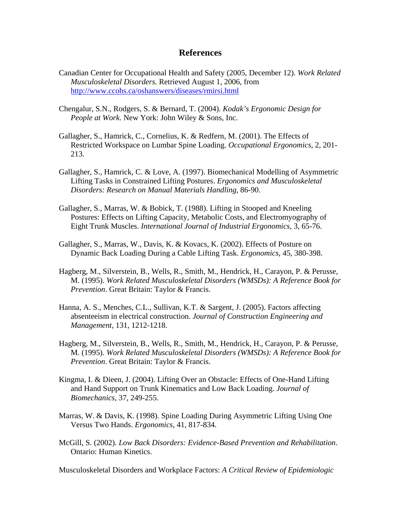#### **References**

- Canadian Center for Occupational Health and Safety (2005, December 12). *Work Related Musculoskeletal Disorders.* Retrieved August 1, 2006, from http://www.ccohs.ca/oshanswers/diseases/rmirsi.html
- Chengalur, S.N., Rodgers, S. & Bernard, T. (2004). *Kodak's Ergonomic Design for People at Work*. New York: John Wiley & Sons, Inc.
- Gallagher, S., Hamrick, C., Cornelius, K. & Redfern, M. (2001). The Effects of Restricted Workspace on Lumbar Spine Loading. *Occupational Ergonomics*, 2, 201- 213.
- Gallagher, S., Hamrick, C. & Love, A. (1997). Biomechanical Modelling of Asymmetric Lifting Tasks in Constrained Lifting Postures. *Ergonomics and Musculoskeletal Disorders: Research on Manual Materials Handling*, 86-90.
- Gallagher, S., Marras, W. & Bobick, T. (1988). Lifting in Stooped and Kneeling Postures: Effects on Lifting Capacity, Metabolic Costs, and Electromyography of Eight Trunk Muscles. *International Journal of Industrial Ergonomics*, 3, 65-76.
- Gallagher, S., Marras, W., Davis, K. & Kovacs, K. (2002). Effects of Posture on Dynamic Back Loading During a Cable Lifting Task. *Ergonomics*, 45, 380-398.
- Hagberg, M., Silverstein, B., Wells, R., Smith, M., Hendrick, H., Carayon, P. & Perusse, M. (1995). *Work Related Musculoskeletal Disorders (WMSDs): A Reference Book for Prevention*. Great Britain: Taylor & Francis.
- Hanna, A. S., Menches, C.L., Sullivan, K.T. & Sargent, J. (2005). Factors affecting absenteeism in electrical construction. *Journal of Construction Engineering and Management*, 131, 1212-1218.
- Hagberg, M., Silverstein, B., Wells, R., Smith, M., Hendrick, H., Carayon, P. & Perusse, M. (1995). *Work Related Musculoskeletal Disorders (WMSDs): A Reference Book for Prevention*. Great Britain: Taylor & Francis.
- Kingma, I. & Dieen, J. (2004). Lifting Over an Obstacle: Effects of One-Hand Lifting and Hand Support on Trunk Kinematics and Low Back Loading. *Journal of Biomechanics*, 37, 249-255.
- Marras, W. & Davis, K. (1998). Spine Loading During Asymmetric Lifting Using One Versus Two Hands. *Ergonomics*, 41, 817-834.
- McGill, S. (2002). *Low Back Disorders: Evidence-Based Prevention and Rehabilitation*. Ontario: Human Kinetics.

Musculoskeletal Disorders and Workplace Factors: *A Critical Review of Epidemiologic*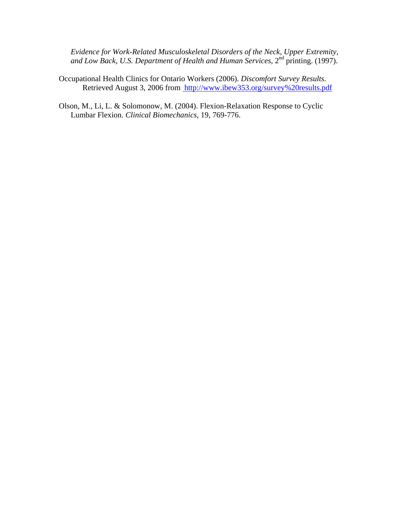*Evidence for Work-Related Musculoskeletal Disorders of the Neck, Upper Extremity,*  and Low Back, U.S. Department of Health and Human Services, 2<sup>nd</sup> printing. (1997).

- Occupational Health Clinics for Ontario Workers (2006). *Discomfort Survey Results.*  Retrieved August 3, 2006 from [http://www.ibew353.org/survey%20results.pdf](http://ohcow.on.ca/resources/handbooks/havs/HAVS.htm)
- Olson, M., Li, L. & Solomonow, M. (2004). Flexion-Relaxation Response to Cyclic Lumbar Flexion. *Clinical Biomechanics*, 19, 769-776.